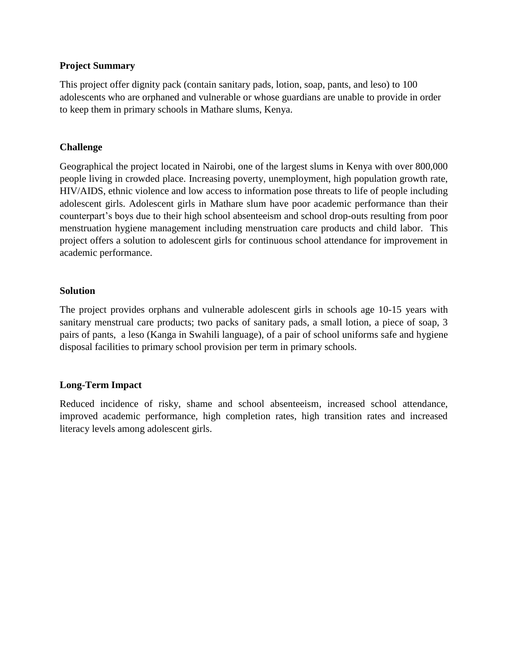#### **Project Summary**

This project offer dignity pack (contain sanitary pads, lotion, soap, pants, and leso) to 100 adolescents who are orphaned and vulnerable or whose guardians are unable to provide in order to keep them in primary schools in Mathare slums, Kenya.

### **Challenge**

Geographical the project located in Nairobi, one of the largest slums in Kenya with over 800,000 people living in crowded place. Increasing poverty, unemployment, high population growth rate, HIV/AIDS, ethnic violence and low access to information pose threats to life of people including adolescent girls. Adolescent girls in Mathare slum have poor academic performance than their counterpart's boys due to their high school absenteeism and school drop-outs resulting from poor menstruation hygiene management including menstruation care products and child labor. This project offers a solution to adolescent girls for continuous school attendance for improvement in academic performance.

#### **Solution**

The project provides orphans and vulnerable adolescent girls in schools age 10-15 years with sanitary menstrual care products; two packs of sanitary pads, a small lotion, a piece of soap, 3 pairs of pants, a leso (Kanga in Swahili language), of a pair of school uniforms safe and hygiene disposal facilities to primary school provision per term in primary schools.

### **Long-Term Impact**

Reduced incidence of risky, shame and school absenteeism, increased school attendance, improved academic performance, high completion rates, high transition rates and increased literacy levels among adolescent girls.